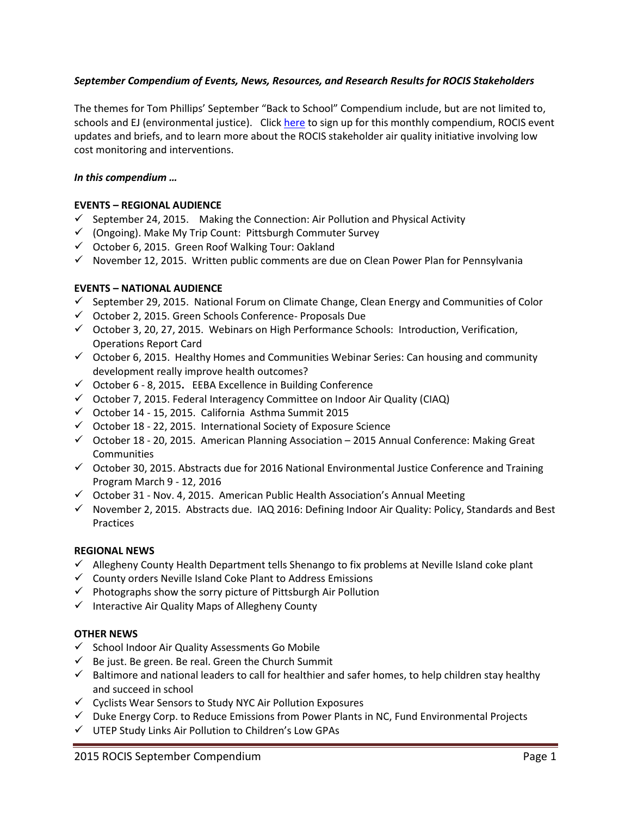## *September Compendium of Events, News, Resources, and Research Results for ROCIS Stakeholders*

The themes for Tom Phillips' September "Back to School" Compendium include, but are not limited to, schools and EJ (environmental justice). Clic[k here](http://www.rocis.org/rocis-sign) to sign up for this monthly compendium, ROCIS event updates and briefs, and to learn more about the ROCIS stakeholder air quality initiative involving low cost monitoring and interventions.

## *In this compendium …*

## **EVENTS – REGIONAL AUDIENCE**

- $\checkmark$  September 24, 2015. Making the Connection: Air Pollution and Physical Activity
- $\checkmark$  (Ongoing). Make My Trip Count: Pittsburgh Commuter Survey
- $\checkmark$  October 6, 2015. Green Roof Walking Tour: Oakland
- $\checkmark$  November 12, 2015. Written public comments are due on Clean Power Plan for Pennsylvania

## **EVENTS – NATIONAL AUDIENCE**

- $\checkmark$  September 29, 2015. National Forum on Climate Change, Clean Energy and Communities of Color
- $\checkmark$  October 2, 2015. Green Schools Conference- Proposals Due
- $\checkmark$  October 3, 20, 27, 2015. Webinars on High Performance Schools: Introduction, Verification, Operations Report Card
- $\checkmark$  October 6, 2015. Healthy Homes and Communities Webinar Series: Can housing and community development really improve health outcomes?
- October 6 8, 2015**.** EEBA Excellence in Building Conference
- $\checkmark$  October 7, 2015. Federal Interagency Committee on Indoor Air Quality (CIAQ)
- $\checkmark$  October 14 15, 2015. California Asthma Summit 2015
- $\checkmark$  October 18 22, 2015. International Society of Exposure Science
- $\checkmark$  October 18 20, 2015. American Planning Association 2015 Annual Conference: Making Great **Communities**
- $\checkmark$  October 30, 2015. Abstracts due for 2016 National Environmental Justice Conference and Training Program March 9 - 12, 2016
- $\checkmark$  October 31 Nov. 4, 2015. American Public Health Association's Annual Meeting
- $\checkmark$  November 2, 2015. Abstracts due. IAQ 2016: Defining Indoor Air Quality: Policy, Standards and Best Practices

## **REGIONAL NEWS**

- $\checkmark$  Allegheny County Health Department tells Shenango to fix problems at Neville Island coke plant
- $\checkmark$  County orders Neville Island Coke Plant to Address Emissions
- $\checkmark$  Photographs show the sorry picture of Pittsburgh Air Pollution
- $\checkmark$  Interactive Air Quality Maps of Allegheny County

## **OTHER NEWS**

- $\checkmark$  School Indoor Air Quality Assessments Go Mobile
- $\checkmark$  Be just. Be green. Be real. Green the Church Summit
- $\checkmark$  Baltimore and national leaders to call for healthier and safer homes, to help children stay healthy and succeed in school
- $\checkmark$  Cyclists Wear Sensors to Study NYC Air Pollution Exposures
- $\checkmark$  Duke Energy Corp. to Reduce Emissions from Power Plants in NC, Fund Environmental Projects
- UTEP Study Links Air Pollution to Children's Low GPAs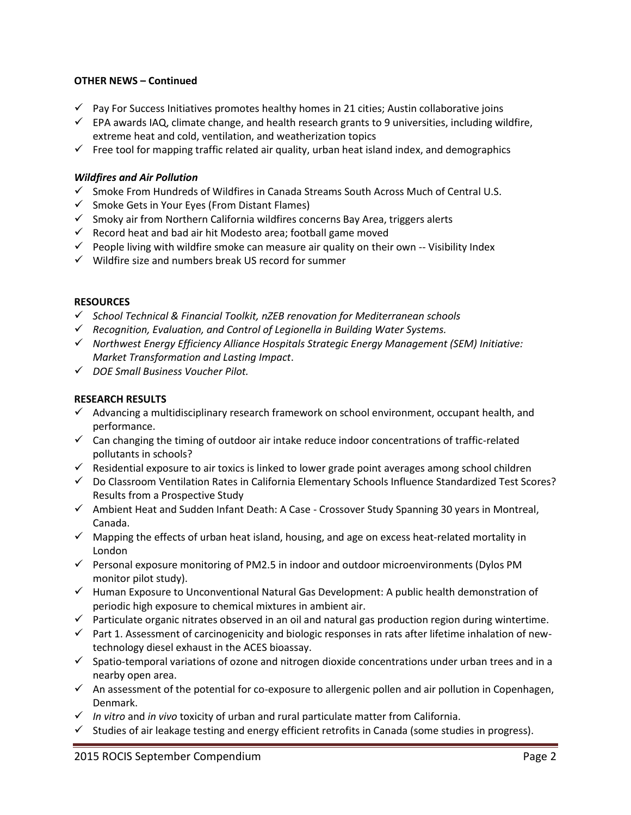## **OTHER NEWS – Continued**

- $\checkmark$  Pay For Success Initiatives promotes healthy homes in 21 cities; Austin collaborative joins
- $\checkmark$  EPA awards IAQ, climate change, and health research grants to 9 universities, including wildfire, extreme heat and cold, ventilation, and weatherization topics
- $\checkmark$  Free tool for mapping traffic related air quality, urban heat island index, and demographics

## *Wildfires and Air Pollution*

- $\checkmark$  Smoke From Hundreds of Wildfires in Canada Streams South Across Much of Central U.S.
- $\checkmark$  Smoke Gets in Your Eyes (From Distant Flames)
- $\checkmark$  Smoky air from Northern California wildfires concerns Bay Area, triggers alerts
- $\checkmark$  Record heat and bad air hit Modesto area; football game moved
- $\checkmark$  People living with wildfire smoke can measure air quality on their own -- Visibility Index
- $\checkmark$  Wildfire size and numbers break US record for summer

## **RESOURCES**

- *School Technical & Financial Toolkit, nZEB renovation for Mediterranean schools*
- *Recognition, Evaluation, and Control of Legionella in Building Water Systems.*
- *Northwest Energy Efficiency Alliance Hospitals Strategic Energy Management (SEM) Initiative: Market Transformation and Lasting Impact*.
- *DOE Small Business Voucher Pilot.*

## **RESEARCH RESULTS**

- $\checkmark$  Advancing a multidisciplinary research framework on school environment, occupant health, and performance.
- $\checkmark$  Can changing the timing of outdoor air intake reduce indoor concentrations of traffic-related pollutants in schools?
- $\checkmark$  Residential exposure to air toxics is linked to lower grade point averages among school children
- $\checkmark$  Do Classroom Ventilation Rates in California Elementary Schools Influence Standardized Test Scores? Results from a Prospective Study
- $\checkmark$  Ambient Heat and Sudden Infant Death: A Case Crossover Study Spanning 30 years in Montreal, Canada.
- $\checkmark$  Mapping the effects of urban heat island, housing, and age on excess heat-related mortality in London
- $\checkmark$  Personal exposure monitoring of PM2.5 in indoor and outdoor microenvironments (Dylos PM monitor pilot study).
- $\checkmark$  Human Exposure to Unconventional Natural Gas Development: A public health demonstration of periodic high exposure to chemical mixtures in ambient air.
- $\checkmark$  Particulate organic nitrates observed in an oil and natural gas production region during wintertime.
- $\checkmark$  Part 1. Assessment of carcinogenicity and biologic responses in rats after lifetime inhalation of newtechnology diesel exhaust in the ACES bioassay.
- $\checkmark$  Spatio-temporal variations of ozone and nitrogen dioxide concentrations under urban trees and in a nearby open area.
- $\checkmark$  An assessment of the potential for co-exposure to allergenic pollen and air pollution in Copenhagen, Denmark.
- *In vitro* and *in vivo* toxicity of urban and rural particulate matter from California.
- $\checkmark$  Studies of air leakage testing and energy efficient retrofits in Canada (some studies in progress).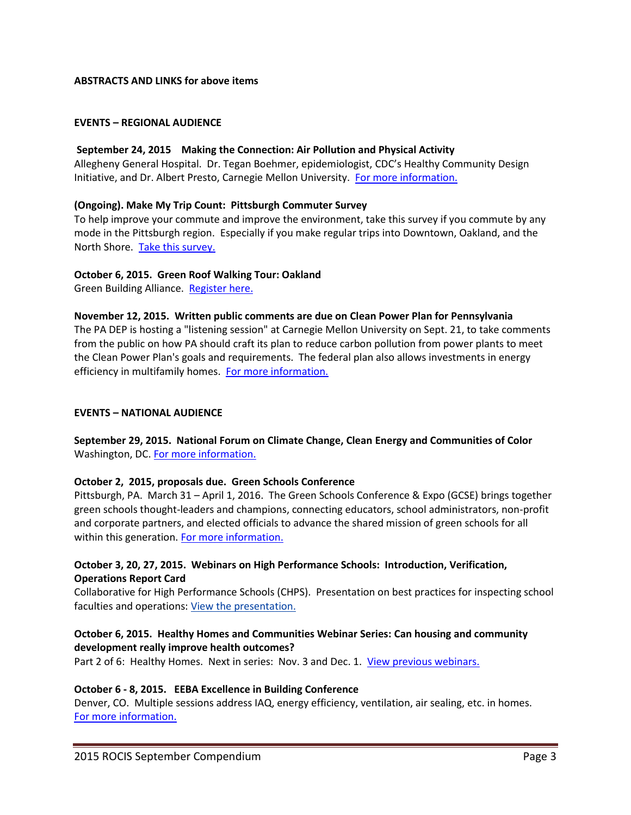## **ABSTRACTS AND LINKS for above items**

#### **EVENTS – REGIONAL AUDIENCE**

#### **September 24, 2015 Making the Connection: Air Pollution and Physical Activity**

Allegheny General Hospital. Dr. Tegan Boehmer, epidemiologist, CDC's Healthy Community Design Initiative, and Dr. Albert Presto, Carnegie Mellon University. [For more information.](http://gasp-pgh.org/2015/08/20/making-the-connection-air-pollution-and-physical-activity/)

#### **(Ongoing). Make My Trip Count: Pittsburgh Commuter Survey**

To help improve your commute and improve the environment, take this survey if you commute by any mode in the Pittsburgh region.Especially if you make regular trips into Downtown, Oakland, and the North Shore. [Take this survey.](http://www.makemytripcount.org/about.html)

#### **October 6, 2015. Green Roof Walking Tour: Oakland**

Green Building Alliance. [Register here.](https://www.go-gba.org/event/green-roof-walking-tour-oakland/)

#### **November 12, 2015. Written public comments are due on Clean Power Plan for Pennsylvania**

The PA DEP is hosting a "listening session" at Carnegie Mellon University on Sept. 21, to take comments from the public on how PA should craft its plan to reduce carbon pollution from power plants to meet the Clean Power Plan's goals and requirements. The federal plan also allows investments in energy efficiency in multifamily homes. [For more information.](http://alleghenysc.org/?p=25965#more-25965)

## **EVENTS – NATIONAL AUDIENCE**

**September 29, 2015. National Forum on Climate Change, Clean Energy and Communities of Color** Washington, DC. [For more information.](http://www.greenforall.org/national_forum_on_climate_change_clean_energy)

## **October 2, 2015, proposals due. Green Schools Conference**

Pittsburgh, PA. March 31 – April 1, 2016. The Green Schools Conference & Expo (GCSE) brings together green schools thought-leaders and champions, connecting educators, school administrators, non-profit and corporate partners, and elected officials to advance the shared mission of green schools for all within this generation. [For more information.](http://gsc.usgbc.org/)

## **October 3, 20, 27, 2015. Webinars on High Performance Schools: Introduction, Verification, Operations Report Card**

Collaborative for High Performance Schools (CHPS). Presentation on best practices for inspecting school faculties and operations: [View the presentation.](http://www.chps.net/content/277/ORC_GG-USA_GreenSchools-Presentation_Final-1.pdf)

## **October 6, 2015. Healthy Homes and Communities Webinar Series: Can housing and community development really improve health outcomes?**

Part 2 of 6: Healthy Homes. Next in series: Nov. 3 and Dec. 1. [View previous webinars.](http://neighborworks.org/Community/Health/Webinars)

## **October 6 - 8, 2015. EEBA Excellence in Building Conference**

Denver, CO. Multiple sessions address IAQ, energy efficiency, ventilation, air sealing, etc. in homes. [For more information.](http://www.eeba.org/conference)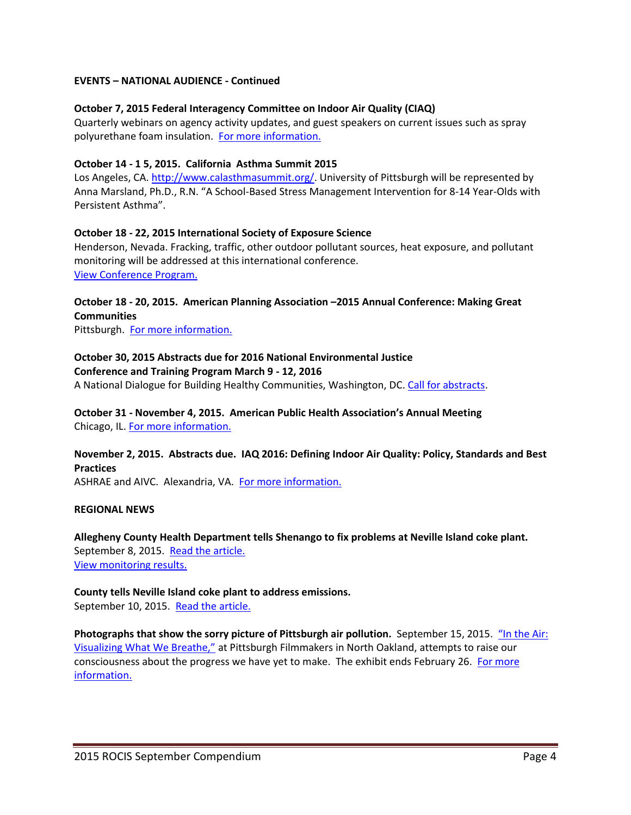## **EVENTS – NATIONAL AUDIENCE - Continued**

## **October 7, 2015 Federal Interagency Committee on Indoor Air Quality (CIAQ)**

Quarterly webinars on agency activity updates, and guest speakers on current issues such as spray polyurethane foam insulation. [For more information.](http://www.epa.gov/iaq/ciaq)

## **October 14 - 1 5, 2015. California Asthma Summit 2015**

Los Angeles, CA. [http://www.calasthmasummit.org/.](http://www.calasthmasummit.org/) University of Pittsburgh will be represented by Anna Marsland, Ph.D., R.N. "A School-Based Stress Management Intervention for 8-14 Year-Olds with Persistent Asthma".

## **October 18 - 22, 2015 International Society of Exposure Science**

Henderson, Nevada. Fracking, traffic, other outdoor pollutant sources, heat exposure, and pollutant monitoring will be addressed at this international conference. [View Conference Program.](http://www.ises2015.org/)

## **October 18 - 20, 2015. American Planning Association –2015 Annual Conference: Making Great Communities**

Pittsburgh. [For more information.](http://www.planswpa.com/)

# **October 30, 2015 Abstracts due for 2016 National Environmental Justice**

#### **Conference and Training Program March 9 - 12, 2016**

A National Dialogue for Building Healthy Communities, Washington, DC. [Call for abstracts.](http://energy.gov/lm/downloads/2016-call-abstracts)

#### **October 31 - November 4, 2015. American Public Health Association's Annual Meeting**  Chicago, IL. [For more information.](https://www.apha.org/events-and-meetings/annual)

## **November 2, 2015. Abstracts due. IAQ 2016: Defining Indoor Air Quality: Policy, Standards and Best Practices**

ASHRAE and AIVC. Alexandria, VA. [For more information.](https://www.ashrae.org/membership--conferences/conferences/ashrae-conferences/iaq-2016)

## **REGIONAL NEWS**

**Allegheny County Health Department tells Shenango to fix problems at Neville Island coke plant.** September 8, 2015. [Read the article.](http://triblive.com/business/headlines/9029753-74/shenango-county-plant#ixzz3m30xhOXw) [View monitoring results.](http://gasp-pgh.org/2015/09/08/dte-shenango-compliance-through-2015s-second-quarter/)

## **County tells Neville Island coke plant to address emissions.** September 10, 2015. [Read the](http://www.post-gazette.com/local/west/2015/09/10/Allegheny-County-tells-Neville-Island-coke-plant-to-address-emissions/stories/201509100093) article.

**Photographs that show the sorry picture of Pittsburgh air pollution.** September 15, 2015. ["In the Air:](http://filmmakers.pfpca.org/exhibitions/air-visualizing-what-we-breathe)  [Visualizing What We Breathe,"](http://filmmakers.pfpca.org/exhibitions/air-visualizing-what-we-breathe) at Pittsburgh Filmmakers in North Oakland, attempts to raise our consciousness about the progress we have yet to make. The exhibit ends February 26. For more [information.](http://www.post-gazette.com/opinion/diana-nelson-jones/2015/09/15/Diana-Nelson-Jones-Walkabout-Photos-show-the-sorry-picture-of-local-air-pollution/stories/201509150028)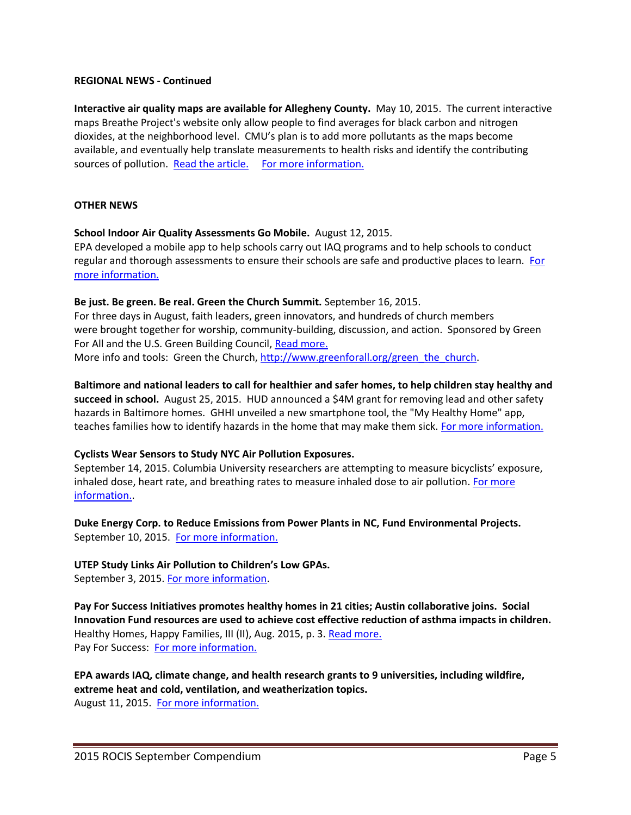## **REGIONAL NEWS - Continued**

**Interactive air quality maps are available for Allegheny County.** May 10, 2015. The current interactive maps Breathe Project's website only allow people to find averages for black carbon and nitrogen dioxides, at the neighborhood level. CMU's plan is to add more pollutants as the maps become available, and eventually help translate measurements to health risks and identify the contributing sources of pollution. [Read the article.](http://www.pghcitypaper.com/Blogh/archives/2015/05/15/cmu-and-breathe-project-present-interactive-air-quality-maps-for-allegheny-county) For more information.

#### **OTHER NEWS**

#### **School Indoor Air Quality Assessments Go Mobile.** August 12, 2015.

EPA developed a mobile app to help schools carry out IAQ programs and to help schools to conduct regular and thorough assessments to ensure their schools are safe and productive places to learn. [For](http://yosemite.epa.gov/opa/admpress.nsf/bd4379a92ceceeac8525735900400c27/6839b4f57b0ff3a385257e9f004f8ea4!OpenDocument)  [more information.](http://yosemite.epa.gov/opa/admpress.nsf/bd4379a92ceceeac8525735900400c27/6839b4f57b0ff3a385257e9f004f8ea4!OpenDocument)

#### **Be just. Be green. Be real. Green the Church Summit.** September 16, 2015.

For three days in August, faith leaders, green innovators, and hundreds of church members were brought together for worship, community-building, discussion, and action. Sponsored by Green For All and the U.S. Green Building Council, [Read more.](http://www.usgbc.org/articles/be-just-be-green-be-real-usgbc-green-church-summit?kui=63AdTBnQq7PC_QZaHl4hnQ) More info and tools: Green the Church[, http://www.greenforall.org/green\\_the\\_church.](http://www.greenforall.org/green_the_church)

## **Baltimore and national leaders to call for healthier and safer homes, to help children stay healthy and succeed in school.** August 25, 2015. HUD announced a \$4M grant for removing lead and other safety hazards in Baltimore homes. GHHI unveiled a new smartphone tool, the "My Healthy Home" app, teaches families how to identify hazards in the home that may make them sick. [For more information.](http://www.greenandhealthyhomes.org/media/press-releases/federal-nonprofit-and-baltimore-city-leaders-call-making-homes-healthier-help#sthash.Q6LAgkdD.dpuf)

## **Cyclists Wear Sensors to Study NYC Air Pollution Exposures.**

September 14, 2015. Columbia University researchers are attempting to measure bicyclists' exposure, inhaled dose, heart rate, and breathing rates to measure inhaled dose to air pollution. [For more](http://gaspgroup.org/bicycling-air-pollution-toxic-columbia-nyc/)  [information..](http://gaspgroup.org/bicycling-air-pollution-toxic-columbia-nyc/)

**Duke Energy Corp. to Reduce Emissions from Power Plants in NC, Fund Environmental Projects.** September 10, 2015. [For more information.](http://www2.epa.gov/enforcement/duke-energy-corporation-clean-air-act-caa-settlement)

## **UTEP Study Links Air Pollution to Children's Low GPAs.**

September 3, 2015. [For more information.](http://news.utep.edu/?p=31279)

**Pay For Success Initiatives promotes healthy homes in 21 cities; Austin collaborative joins. Social Innovation Fund resources are used to achieve cost effective reduction of asthma impacts in children.** Healthy Homes, Happy Families, III (II), Aug. 2015, p. 3[. Read more.](http://issuu.com/ghhi/docs/hhhf-3-2-web/1?e=10871546/14700773) Pay For Success: [For more information.](http://www.greenandhealthyhomes.org/media/press-releases/green-healthy-homes-initiative-receives-1011m-federal-investment-support-pay)

**EPA awards IAQ, climate change, and health research grants to 9 universities, including wildfire, extreme heat and cold, ventilation, and weatherization topics.**

August 11, 2015. [For more information.](http://yosemite.epa.gov/opa/admpress.nsf/7d7bb2acc94d929c85257359003f533c/0afe3882f61bb0e785257e9e0051279d!OpenDocument)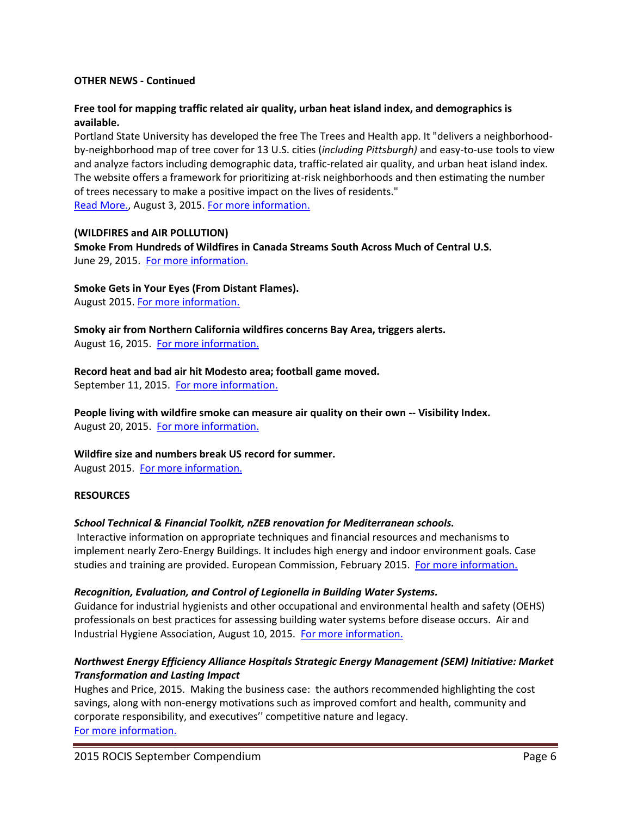## **OTHER NEWS - Continued**

## **Free tool for mapping traffic related air quality, urban heat island index, and demographics is available.**

Portland State University has developed the free The Trees and Health app. It "delivers a neighborhoodby-neighborhood map of tree cover for 13 U.S. cities (*including Pittsburgh)* and easy-to-use tools to view and analyze factors including demographic data, traffic-related air quality, and urban heat island index. The website offers a framework for prioritizing at-risk neighborhoods and then estimating the number of trees necessary to make a positive impact on the lives of residents." [Read More.,](http://www.pdx.edu/sustainability/news/web-tool-links-urban-forest-research-public-health-goals-targeted-intervention) August 3, 2015. [For more information.](http://map.treesandhealth.org/)

#### **(WILDFIRES and AIR POLLUTION)**

**Smoke From Hundreds of Wildfires in Canada Streams South Across Much of Central U.S.**  June 29, 2015. [For more information.](http://blogs.discovermagazine.com/imageo/2015/06/29/smoke-from-hundreds-of-wildfires-in-canada-streams-south-across-central-united-states/#.Vf3bqc59TlV)

#### **Smoke Gets in Your Eyes (From Distant Flames).**

August 2015. [For more information.](http://www.onearth.org/earthwire/wildfire-smoke-health-impacts-distance?utm_source=newsletter&utm_medium=linkmain&utm_campaign=email)

**Smoky air from Northern California wildfires concerns Bay Area, triggers alerts.** August 16, 2015. [For more information.](http://abc7news.com/news/bay-area-residents-concerned-about-smoky-air-from-wildfires/935473/)

## **Record heat and bad air hit Modesto area; football game moved.**

September 11, 2015. [For more information.](http://www.modbee.com/news/article34850643.html)

**People living with wildfire smoke can measure air quality on their own -- Visibility Index.** August 20, 2015. [For more information.](http://www.nbcmontana.com/news/people-living-with-wildfire-smoke-can-measure-air-quality-on-their-own/34836626.)

## **Wildfire size and numbers break US record for summer.**

August 2015. [For more information.](http://www.ncdc.noaa.gov/sotc/fire/201508)

## **RESOURCES**

## *School Technical & Financial Toolkit, nZEB renovation for Mediterranean schools.*

Interactive information on appropriate techniques and financial resources and mechanisms to implement nearly Zero-Energy Buildings. It includes high energy and indoor environment goals. Case studies and training are provided. European Commission, February 2015. [For more information.](http://www.zemeds.eu/school-toolkits)

## *Recognition, Evaluation, and Control of Legionella in Building Water Systems.*

*G*uidance for industrial hygienists and other occupational and environmental health and safety (OEHS) professionals on best practices for assessing building water systems before disease occurs. Air and Industrial Hygiene Association, August 10, 2015. [For more information.](https://www.aiha.org/about-aiha/Press/2015PressReleases/Pages/AIHA-Provides-Preventative-Guidance-in-New-Legionella-Guideline.aspx)

## *Northwest Energy Efficiency Alliance Hospitals Strategic Energy Management (SEM) Initiative: Market Transformation and Lasting Impact*

Hughes and Price, 2015. Making the business case: the authors recommended highlighting the cost savings, along with non-energy motivations such as improved comfort and health, community and corporate responsibility, and executives'' competitive nature and legacy. [For more information.](http://neea.org/docs/default-source/white-papers/neea-hospitals-strategic-energy-management-%28sem%29-initiative---market-transformation-and-lasting-impactf5027d30979363e3870cff0000917d48.pdf?sfvrsn=0/)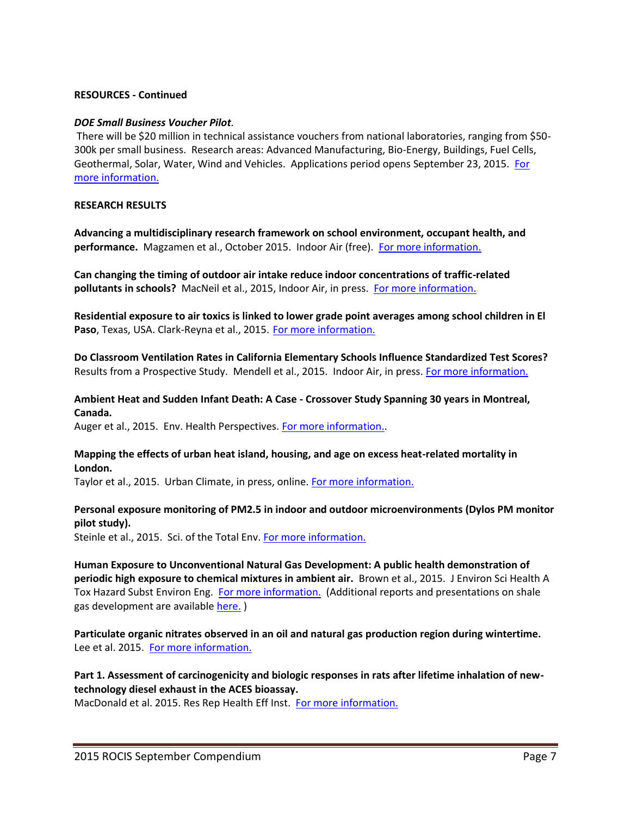#### **RESOURCES** *-* **Continued**

#### *DOE Small Business Voucher Pilot.*

There will be \$20 million in technical assistance vouchers from national laboratories, ranging from \$50- 300k per small business. Research areas: Advanced Manufacturing, Bio-Energy, Buildings, Fuel Cells, Geothermal, Solar, Water, Wind and Vehicles. Applications period opens September 23, 2015. For [more information.](http://www.sbv.org/)

#### **RESEARCH RESULTS**

**Advancing a multidisciplinary research framework on school environment, occupant health, and performance.** Magzamen et al., October 2015. Indoor Air (free). [For more information.](http://onlinelibrary.wiley.com/doi/10.1111/ina.12234/abstract?campaign=woletoc.)

**Can changing the timing of outdoor air intake reduce indoor concentrations of traffic-related**  pollutants in schools? MacNeil et al., 2015, Indoor Air, in press. [For more information.](http://www.ncbi.nlm.nih.gov/pubmed/26340686)

**Residential exposure to air toxics is linked to lower grade point averages among school children in El**  Paso, Texas, USA. Clark-Reyna et al., 2015. [For more information.](http://link.springer.com/article/10.1007%2Fs11111-015-0241-8#.)

**Do Classroom Ventilation Rates in California Elementary Schools Influence Standardized Test Scores?**  Results from a Prospective Study. Mendell et al., 2015. Indoor Air, in press. [For more information.](http://www.ncbi.nlm.nih.gov/pubmed/26283474)

## **Ambient Heat and Sudden Infant Death: A Case - Crossover Study Spanning 30 years in Montreal, Canada.**

Auger et al., 2015. Env. Health Perspectives[. For more information..](http://ehp.niehs.nih.gov/1307960/)

## **Mapping the effects of urban heat island, housing, and age on excess heat-related mortality in London.**

Taylor et al., 2015. Urban Climate, in press, online. [For more information.](http://www.sciencedirect.com/science/article/pii/S2212095515300146)

## **Personal exposure monitoring of PM2.5 in indoor and outdoor microenvironments (Dylos PM monitor pilot study).**

Steinle et al., 2015. Sci. of the Total Env. [For more information.](http://www.sciencedirect.com/science/article/pii/S0048969714017057)

**Human Exposure to Unconventional Natural Gas Development: A public health demonstration of periodic high exposure to chemical mixtures in ambient air.** Brown et al., 2015. J Environ Sci Health A Tox Hazard Subst Environ Eng. [For more information.](http://www.tandfonline.com/doi/abs/10.1080/10934529.2015.992663) (Additional reports and presentations on shale gas development are available [here.](http://www.environmentalhealthproject.org/resources/presentations/) )

**Particulate organic nitrates observed in an oil and natural gas production region during wintertime.** Lee et al. 2015. [For more information.](http://www.atmos-chem-phys.net/15/9313/2015/acp-15-9313-2015.pdf)

## **Part 1. Assessment of carcinogenicity and biologic responses in rats after lifetime inhalation of newtechnology diesel exhaust in the ACES bioassay.**

MacDonald et al. 2015. Res Rep Health Eff Inst. [For more information.](http://www.ncbi.nlm.nih.gov/pubmed/25842615)